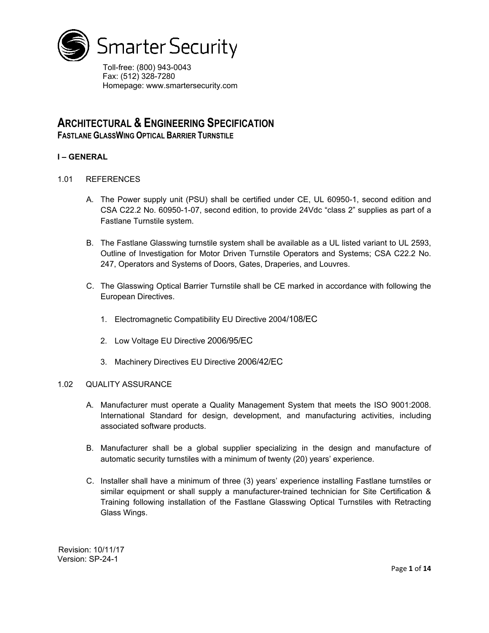

Toll-free: (800) 943-0043 Fax: (512) 328-7280 Homepage: www.smartersecurity.com

# **ARCHITECTURAL & ENGINEERING SPECIFICATION**

**FASTLANE GLASSWING OPTICAL BARRIER TURNSTILE**

# **I – GENERAL**

- 1.01 REFERENCES
	- A. The Power supply unit (PSU) shall be certified under CE, UL 60950-1, second edition and CSA C22.2 No. 60950-1-07, second edition, to provide 24Vdc "class 2" supplies as part of a Fastlane Turnstile system.
	- B. The Fastlane Glasswing turnstile system shall be available as a UL listed variant to UL 2593, Outline of Investigation for Motor Driven Turnstile Operators and Systems; CSA C22.2 No. 247, Operators and Systems of Doors, Gates, Draperies, and Louvres.
	- C. The Glasswing Optical Barrier Turnstile shall be CE marked in accordance with following the European Directives.
		- 1. Electromagnetic Compatibility EU Directive 2004/108/EC
		- 2. Low Voltage EU Directive 2006/95/EC
		- 3. Machinery Directives EU Directive 2006/42/EC

# 1.02 QUALITY ASSURANCE

- A. Manufacturer must operate a Quality Management System that meets the ISO 9001:2008. International Standard for design, development, and manufacturing activities, including associated software products.
- B. Manufacturer shall be a global supplier specializing in the design and manufacture of automatic security turnstiles with a minimum of twenty (20) years' experience.
- C. Installer shall have a minimum of three (3) years' experience installing Fastlane turnstiles or similar equipment or shall supply a manufacturer-trained technician for Site Certification & Training following installation of the Fastlane Glasswing Optical Turnstiles with Retracting Glass Wings.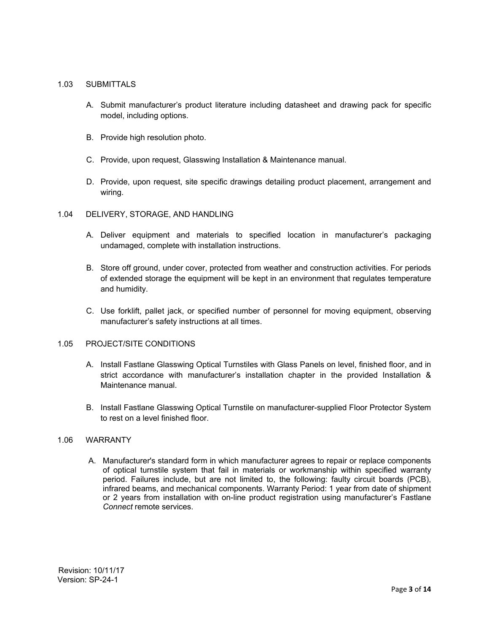# 1.03 SUBMITTALS

- A. Submit manufacturer's product literature including datasheet and drawing pack for specific model, including options.
- B. Provide high resolution photo.
- C. Provide, upon request, Glasswing Installation & Maintenance manual.
- D. Provide, upon request, site specific drawings detailing product placement, arrangement and wiring.

# 1.04 DELIVERY, STORAGE, AND HANDLING

- A. Deliver equipment and materials to specified location in manufacturer's packaging undamaged, complete with installation instructions.
- B. Store off ground, under cover, protected from weather and construction activities. For periods of extended storage the equipment will be kept in an environment that regulates temperature and humidity.
- C. Use forklift, pallet jack, or specified number of personnel for moving equipment, observing manufacturer's safety instructions at all times.

# 1.05 PROJECT/SITE CONDITIONS

- A. Install Fastlane Glasswing Optical Turnstiles with Glass Panels on level, finished floor, and in strict accordance with manufacturer's installation chapter in the provided Installation & Maintenance manual.
- B. Install Fastlane Glasswing Optical Turnstile on manufacturer-supplied Floor Protector System to rest on a level finished floor.

# 1.06 WARRANTY

A. Manufacturer's standard form in which manufacturer agrees to repair or replace components of optical turnstile system that fail in materials or workmanship within specified warranty period. Failures include, but are not limited to, the following: faulty circuit boards (PCB), infrared beams, and mechanical components. Warranty Period: 1 year from date of shipment or 2 years from installation with on-line product registration using manufacturer's Fastlane *Connect* remote services.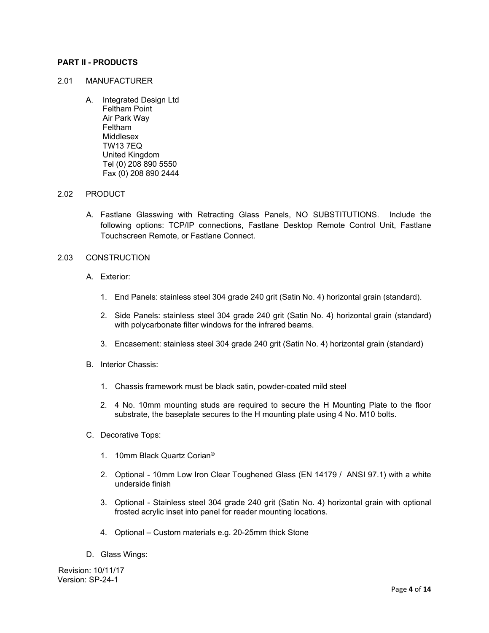#### **PART II - PRODUCTS**

# 2.01 MANUFACTURER

A. Integrated Design Ltd Feltham Point Air Park Way Feltham Middlesex TW13 7EQ United Kingdom Tel (0) 208 890 5550 Fax (0) 208 890 2444

#### 2.02 PRODUCT

A. Fastlane Glasswing with Retracting Glass Panels, NO SUBSTITUTIONS. Include the following options: TCP/IP connections, Fastlane Desktop Remote Control Unit, Fastlane Touchscreen Remote, or Fastlane Connect.

#### 2.03 CONSTRUCTION

- A. Exterior:
	- 1. End Panels: stainless steel 304 grade 240 grit (Satin No. 4) horizontal grain (standard).
	- 2. Side Panels: stainless steel 304 grade 240 grit (Satin No. 4) horizontal grain (standard) with polycarbonate filter windows for the infrared beams.
	- 3. Encasement: stainless steel 304 grade 240 grit (Satin No. 4) horizontal grain (standard)
- B. Interior Chassis:
	- 1. Chassis framework must be black satin, powder-coated mild steel
	- 2. 4 No. 10mm mounting studs are required to secure the H Mounting Plate to the floor substrate, the baseplate secures to the H mounting plate using 4 No. M10 bolts.
- C. Decorative Tops:
	- 1. 10mm Black Quartz Corian®
	- 2. Optional 10mm Low Iron Clear Toughened Glass (EN 14179 / ANSI 97.1) with a white underside finish
	- 3. Optional Stainless steel 304 grade 240 grit (Satin No. 4) horizontal grain with optional frosted acrylic inset into panel for reader mounting locations.
	- 4. Optional Custom materials e.g. 20-25mm thick Stone
- D. Glass Wings: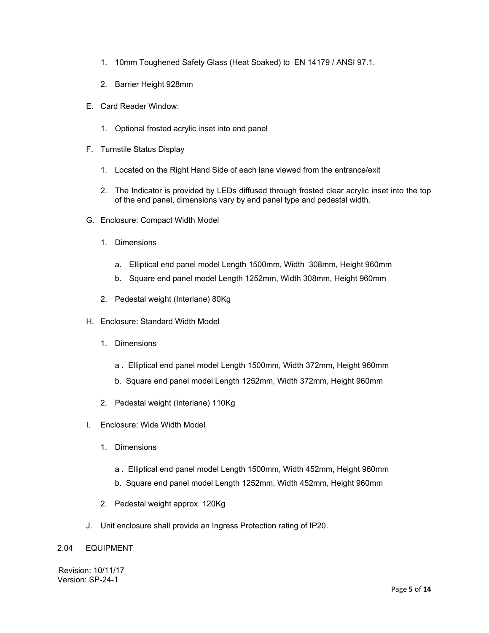- 1. 10mm Toughened Safety Glass (Heat Soaked) to EN 14179 / ANSI 97.1.
- 2. Barrier Height 928mm
- E. Card Reader Window:
	- 1. Optional frosted acrylic inset into end panel
- F. Turnstile Status Display
	- 1. Located on the Right Hand Side of each lane viewed from the entrance/exit
	- 2. The Indicator is provided by LEDs diffused through frosted clear acrylic inset into the top of the end panel, dimensions vary by end panel type and pedestal width.
- G. Enclosure: Compact Width Model
	- 1. Dimensions
		- a. Elliptical end panel model Length 1500mm, Width 308mm, Height 960mm
		- b. Square end panel model Length 1252mm, Width 308mm, Height 960mm
	- 2. Pedestal weight (Interlane) 80Kg
- H. Enclosure: Standard Width Model
	- 1. Dimensions
		- a . Elliptical end panel model Length 1500mm, Width 372mm, Height 960mm
		- b. Square end panel model Length 1252mm, Width 372mm, Height 960mm
	- 2. Pedestal weight (Interlane) 110Kg
- I. Enclosure: Wide Width Model
	- 1. Dimensions
		- a . Elliptical end panel model Length 1500mm, Width 452mm, Height 960mm
		- b. Square end panel model Length 1252mm, Width 452mm, Height 960mm
	- 2. Pedestal weight approx. 120Kg
- J. Unit enclosure shall provide an Ingress Protection rating of IP20.

# 2.04 EQUIPMENT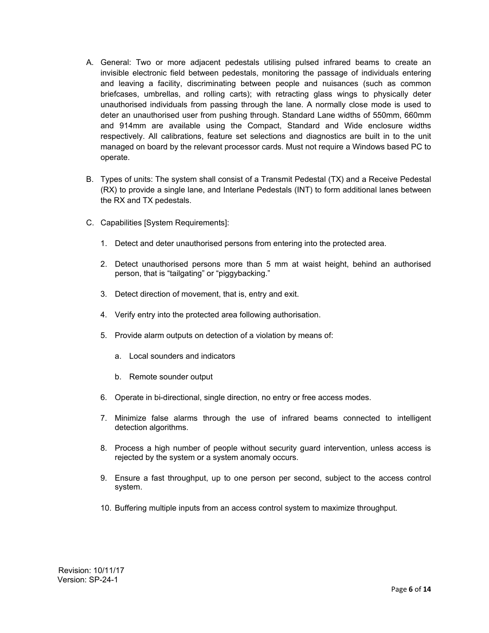- A. General: Two or more adjacent pedestals utilising pulsed infrared beams to create an invisible electronic field between pedestals, monitoring the passage of individuals entering and leaving a facility, discriminating between people and nuisances (such as common briefcases, umbrellas, and rolling carts); with retracting glass wings to physically deter unauthorised individuals from passing through the lane. A normally close mode is used to deter an unauthorised user from pushing through. Standard Lane widths of 550mm, 660mm and 914mm are available using the Compact, Standard and Wide enclosure widths respectively. All calibrations, feature set selections and diagnostics are built in to the unit managed on board by the relevant processor cards. Must not require a Windows based PC to operate.
- B. Types of units: The system shall consist of a Transmit Pedestal (TX) and a Receive Pedestal (RX) to provide a single lane, and Interlane Pedestals (INT) to form additional lanes between the RX and TX pedestals.
- C. Capabilities [System Requirements]:
	- 1. Detect and deter unauthorised persons from entering into the protected area.
	- 2. Detect unauthorised persons more than 5 mm at waist height, behind an authorised person, that is "tailgating" or "piggybacking."
	- 3. Detect direction of movement, that is, entry and exit.
	- 4. Verify entry into the protected area following authorisation.
	- 5. Provide alarm outputs on detection of a violation by means of:
		- a. Local sounders and indicators
		- b. Remote sounder output
	- 6. Operate in bi-directional, single direction, no entry or free access modes.
	- 7. Minimize false alarms through the use of infrared beams connected to intelligent detection algorithms.
	- 8. Process a high number of people without security guard intervention, unless access is rejected by the system or a system anomaly occurs.
	- 9. Ensure a fast throughput, up to one person per second, subject to the access control system.
	- 10. Buffering multiple inputs from an access control system to maximize throughput.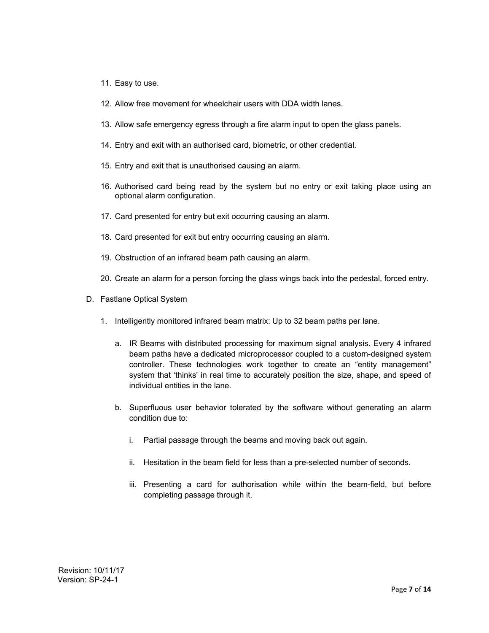- 11. Easy to use.
- 12. Allow free movement for wheelchair users with DDA width lanes.
- 13. Allow safe emergency egress through a fire alarm input to open the glass panels.
- 14. Entry and exit with an authorised card, biometric, or other credential.
- 15. Entry and exit that is unauthorised causing an alarm.
- 16. Authorised card being read by the system but no entry or exit taking place using an optional alarm configuration.
- 17. Card presented for entry but exit occurring causing an alarm.
- 18. Card presented for exit but entry occurring causing an alarm.
- 19. Obstruction of an infrared beam path causing an alarm.
- 20. Create an alarm for a person forcing the glass wings back into the pedestal, forced entry.
- D. Fastlane Optical System
	- 1. Intelligently monitored infrared beam matrix: Up to 32 beam paths per lane.
		- a. IR Beams with distributed processing for maximum signal analysis. Every 4 infrared beam paths have a dedicated microprocessor coupled to a custom-designed system controller. These technologies work together to create an "entity management" system that 'thinks' in real time to accurately position the size, shape, and speed of individual entities in the lane.
		- b. Superfluous user behavior tolerated by the software without generating an alarm condition due to:
			- i. Partial passage through the beams and moving back out again.
			- ii. Hesitation in the beam field for less than a pre-selected number of seconds.
			- iii. Presenting a card for authorisation while within the beam-field, but before completing passage through it.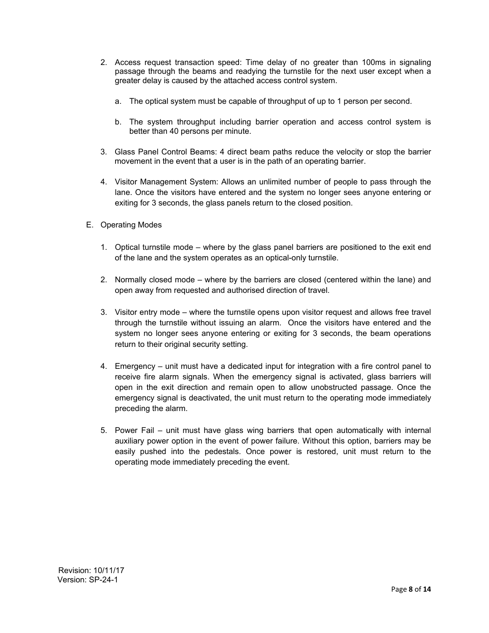- 2. Access request transaction speed: Time delay of no greater than 100ms in signaling passage through the beams and readying the turnstile for the next user except when a greater delay is caused by the attached access control system.
	- a. The optical system must be capable of throughput of up to 1 person per second.
	- b. The system throughput including barrier operation and access control system is better than 40 persons per minute.
- 3. Glass Panel Control Beams: 4 direct beam paths reduce the velocity or stop the barrier movement in the event that a user is in the path of an operating barrier.
- 4. Visitor Management System: Allows an unlimited number of people to pass through the lane. Once the visitors have entered and the system no longer sees anyone entering or exiting for 3 seconds, the glass panels return to the closed position.
- E. Operating Modes
	- 1. Optical turnstile mode where by the glass panel barriers are positioned to the exit end of the lane and the system operates as an optical-only turnstile.
	- 2. Normally closed mode where by the barriers are closed (centered within the lane) and open away from requested and authorised direction of travel.
	- 3. Visitor entry mode where the turnstile opens upon visitor request and allows free travel through the turnstile without issuing an alarm. Once the visitors have entered and the system no longer sees anyone entering or exiting for 3 seconds, the beam operations return to their original security setting.
	- 4. Emergency unit must have a dedicated input for integration with a fire control panel to receive fire alarm signals. When the emergency signal is activated, glass barriers will open in the exit direction and remain open to allow unobstructed passage. Once the emergency signal is deactivated, the unit must return to the operating mode immediately preceding the alarm.
	- 5. Power Fail unit must have glass wing barriers that open automatically with internal auxiliary power option in the event of power failure. Without this option, barriers may be easily pushed into the pedestals. Once power is restored, unit must return to the operating mode immediately preceding the event.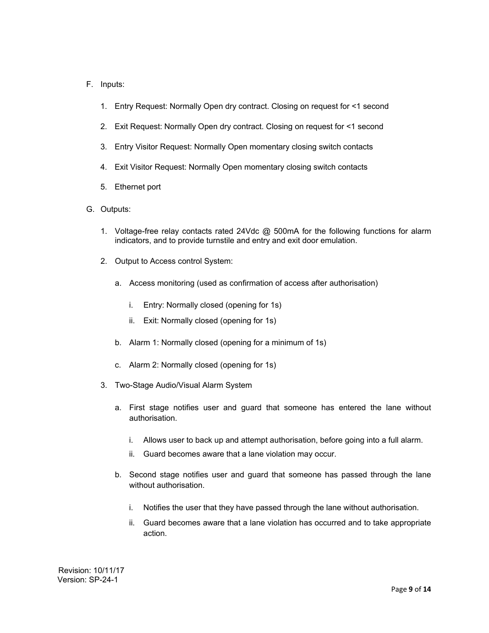# F. Inputs:

- 1. Entry Request: Normally Open dry contract. Closing on request for <1 second
- 2. Exit Request: Normally Open dry contract. Closing on request for <1 second
- 3. Entry Visitor Request: Normally Open momentary closing switch contacts
- 4. Exit Visitor Request: Normally Open momentary closing switch contacts
- 5. Ethernet port
- G. Outputs:
	- 1. Voltage-free relay contacts rated 24Vdc @ 500mA for the following functions for alarm indicators, and to provide turnstile and entry and exit door emulation.
	- 2. Output to Access control System:
		- a. Access monitoring (used as confirmation of access after authorisation)
			- i. Entry: Normally closed (opening for 1s)
			- ii. Exit: Normally closed (opening for 1s)
		- b. Alarm 1: Normally closed (opening for a minimum of 1s)
		- c. Alarm 2: Normally closed (opening for 1s)
	- 3. Two-Stage Audio/Visual Alarm System
		- a. First stage notifies user and guard that someone has entered the lane without authorisation.
			- i. Allows user to back up and attempt authorisation, before going into a full alarm.
			- ii. Guard becomes aware that a lane violation may occur.
		- b. Second stage notifies user and guard that someone has passed through the lane without authorisation.
			- i. Notifies the user that they have passed through the lane without authorisation.
			- ii. Guard becomes aware that a lane violation has occurred and to take appropriate action.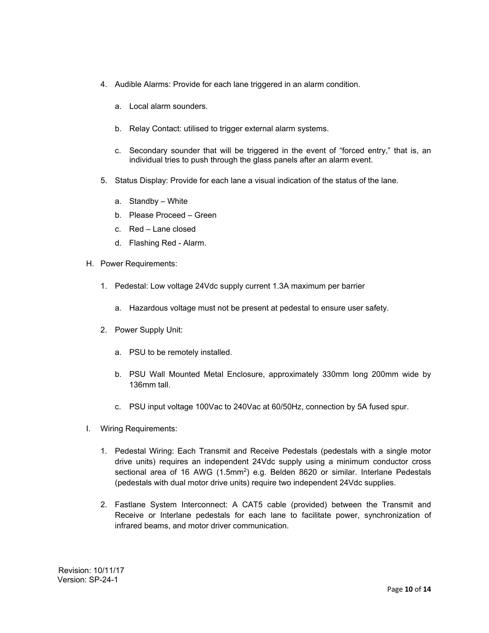- 4. Audible Alarms: Provide for each lane triggered in an alarm condition.
	- a. Local alarm sounders.
	- b. Relay Contact: utilised to trigger external alarm systems.
	- c. Secondary sounder that will be triggered in the event of "forced entry," that is, an individual tries to push through the glass panels after an alarm event.
- 5. Status Display: Provide for each lane a visual indication of the status of the lane.
	- a. Standby White
	- b. Please Proceed Green
	- c. Red Lane closed
	- d. Flashing Red Alarm.
- H. Power Requirements:
	- 1. Pedestal: Low voltage 24Vdc supply current 1.3A maximum per barrier
		- a. Hazardous voltage must not be present at pedestal to ensure user safety.
	- 2. Power Supply Unit:
		- a. PSU to be remotely installed.
		- b. PSU Wall Mounted Metal Enclosure, approximately 330mm long 200mm wide by 136mm tall.
		- c. PSU input voltage 100Vac to 240Vac at 60/50Hz, connection by 5A fused spur.
- I. Wiring Requirements:
	- 1. Pedestal Wiring: Each Transmit and Receive Pedestals (pedestals with a single motor drive units) requires an independent 24Vdc supply using a minimum conductor cross sectional area of 16 AWG (1.5mm<sup>2</sup>) e.g. Belden 8620 or similar. Interlane Pedestals (pedestals with dual motor drive units) require two independent 24Vdc supplies.
	- 2. Fastlane System Interconnect: A CAT5 cable (provided) between the Transmit and Receive or Interlane pedestals for each lane to facilitate power, synchronization of infrared beams, and motor driver communication.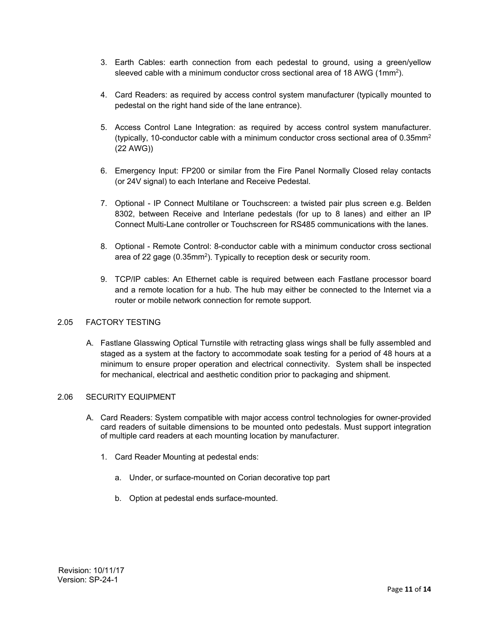- 3. Earth Cables: earth connection from each pedestal to ground, using a green/yellow sleeved cable with a minimum conductor cross sectional area of 18 AWG (1mm2).
- 4. Card Readers: as required by access control system manufacturer (typically mounted to pedestal on the right hand side of the lane entrance).
- 5. Access Control Lane Integration: as required by access control system manufacturer. (typically, 10-conductor cable with a minimum conductor cross sectional area of  $0.35$ mm<sup>2</sup> (22 AWG))
- 6. Emergency Input: FP200 or similar from the Fire Panel Normally Closed relay contacts (or 24V signal) to each Interlane and Receive Pedestal.
- 7. Optional IP Connect Multilane or Touchscreen: a twisted pair plus screen e.g. Belden 8302, between Receive and Interlane pedestals (for up to 8 lanes) and either an IP Connect Multi-Lane controller or Touchscreen for RS485 communications with the lanes.
- 8. Optional Remote Control: 8-conductor cable with a minimum conductor cross sectional area of 22 gage (0.35mm<sup>2</sup>). Typically to reception desk or security room.
- 9. TCP/IP cables: An Ethernet cable is required between each Fastlane processor board and a remote location for a hub. The hub may either be connected to the Internet via a router or mobile network connection for remote support.

# 2.05 FACTORY TESTING

A. Fastlane Glasswing Optical Turnstile with retracting glass wings shall be fully assembled and staged as a system at the factory to accommodate soak testing for a period of 48 hours at a minimum to ensure proper operation and electrical connectivity. System shall be inspected for mechanical, electrical and aesthetic condition prior to packaging and shipment.

# 2.06 SECURITY EQUIPMENT

- A. Card Readers: System compatible with major access control technologies for owner-provided card readers of suitable dimensions to be mounted onto pedestals. Must support integration of multiple card readers at each mounting location by manufacturer.
	- 1. Card Reader Mounting at pedestal ends:
		- a. Under, or surface-mounted on Corian decorative top part
		- b. Option at pedestal ends surface-mounted.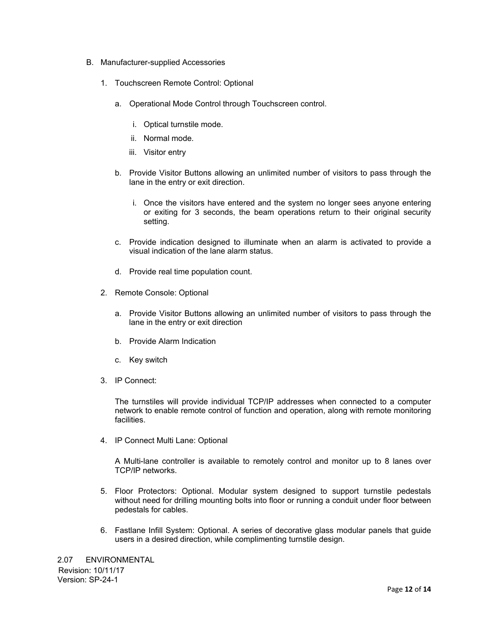- B. Manufacturer-supplied Accessories
	- 1. Touchscreen Remote Control: Optional
		- a. Operational Mode Control through Touchscreen control.
			- i. Optical turnstile mode.
			- ii. Normal mode.
			- iii. Visitor entry
		- b. Provide Visitor Buttons allowing an unlimited number of visitors to pass through the lane in the entry or exit direction.
			- i. Once the visitors have entered and the system no longer sees anyone entering or exiting for 3 seconds, the beam operations return to their original security setting.
		- c. Provide indication designed to illuminate when an alarm is activated to provide a visual indication of the lane alarm status.
		- d. Provide real time population count.
	- 2. Remote Console: Optional
		- a. Provide Visitor Buttons allowing an unlimited number of visitors to pass through the lane in the entry or exit direction
		- b. Provide Alarm Indication
		- c. Key switch
	- 3. IP Connect:

The turnstiles will provide individual TCP/IP addresses when connected to a computer network to enable remote control of function and operation, along with remote monitoring facilities.

4. IP Connect Multi Lane: Optional

A Multi-lane controller is available to remotely control and monitor up to 8 lanes over TCP/IP networks.

- 5. Floor Protectors: Optional. Modular system designed to support turnstile pedestals without need for drilling mounting bolts into floor or running a conduit under floor between pedestals for cables.
- 6. Fastlane Infill System: Optional. A series of decorative glass modular panels that guide users in a desired direction, while complimenting turnstile design.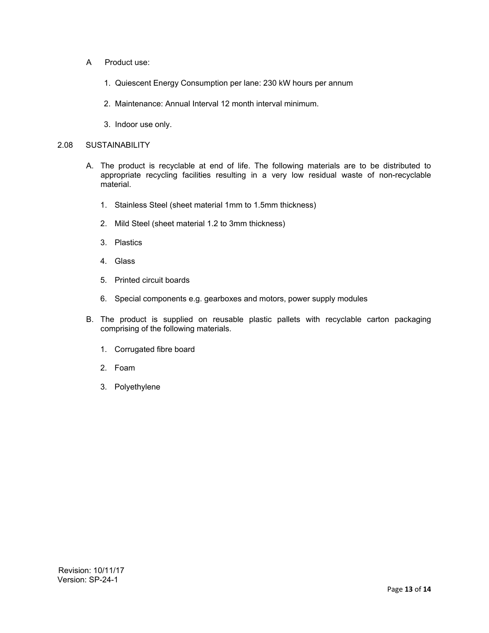- A Product use:
	- 1. Quiescent Energy Consumption per lane: 230 kW hours per annum
	- 2. Maintenance: Annual Interval 12 month interval minimum.
	- 3. Indoor use only.

#### 2.08 SUSTAINABILITY

- A. The product is recyclable at end of life. The following materials are to be distributed to appropriate recycling facilities resulting in a very low residual waste of non-recyclable material.
	- 1. Stainless Steel (sheet material 1mm to 1.5mm thickness)
	- 2. Mild Steel (sheet material 1.2 to 3mm thickness)
	- 3. Plastics
	- 4. Glass
	- 5. Printed circuit boards
	- 6. Special components e.g. gearboxes and motors, power supply modules
- B. The product is supplied on reusable plastic pallets with recyclable carton packaging comprising of the following materials.
	- 1. Corrugated fibre board
	- 2. Foam
	- 3. Polyethylene